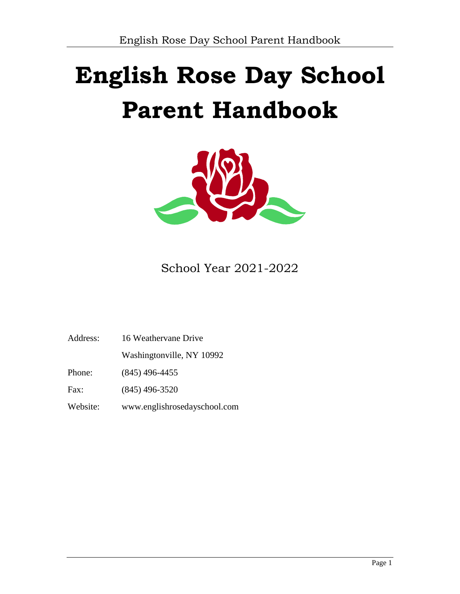# **English Rose Day School Parent Handbook**



School Year 2021-2022

| 16 Weathervane Drive<br>Address: |  |
|----------------------------------|--|
|----------------------------------|--|

Washingtonville, NY 10992

Phone: (845) 496-4455

Fax: (845) 496-3520

Website: www.englishrosedayschool.com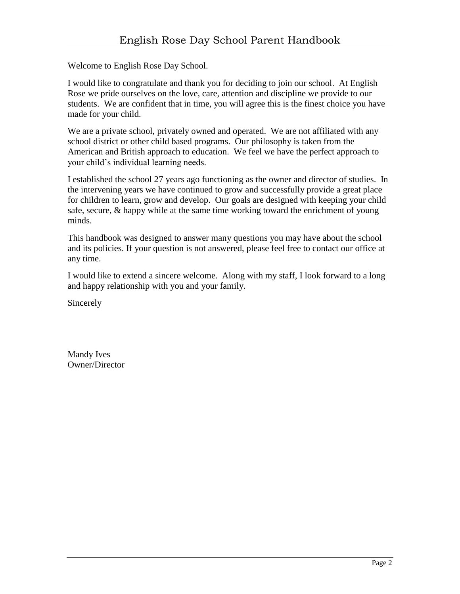Welcome to English Rose Day School.

I would like to congratulate and thank you for deciding to join our school. At English Rose we pride ourselves on the love, care, attention and discipline we provide to our students. We are confident that in time, you will agree this is the finest choice you have made for your child.

We are a private school, privately owned and operated. We are not affiliated with any school district or other child based programs. Our philosophy is taken from the American and British approach to education. We feel we have the perfect approach to your child's individual learning needs.

I established the school 27 years ago functioning as the owner and director of studies. In the intervening years we have continued to grow and successfully provide a great place for children to learn, grow and develop. Our goals are designed with keeping your child safe, secure, & happy while at the same time working toward the enrichment of young minds.

This handbook was designed to answer many questions you may have about the school and its policies. If your question is not answered, please feel free to contact our office at any time.

I would like to extend a sincere welcome. Along with my staff, I look forward to a long and happy relationship with you and your family.

Sincerely

Mandy Ives Owner/Director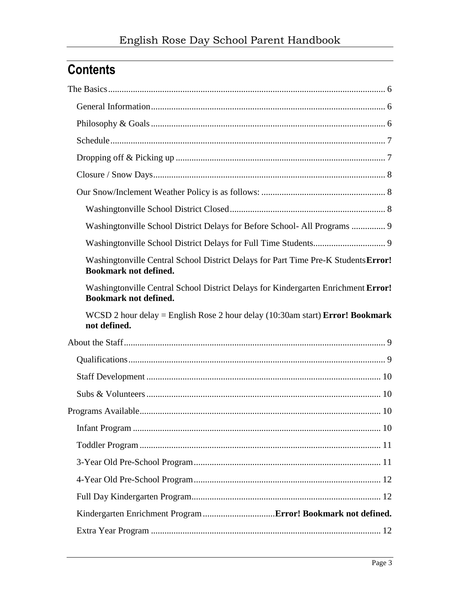# **Contents**

| Washingtonville School District Delays for Before School- All Programs  9                                          |
|--------------------------------------------------------------------------------------------------------------------|
|                                                                                                                    |
| Washingtonville Central School District Delays for Part Time Pre-K Students Error!<br><b>Bookmark not defined.</b> |
| Washingtonville Central School District Delays for Kindergarten Enrichment Error!<br><b>Bookmark not defined.</b>  |
|                                                                                                                    |
| WCSD 2 hour delay = English Rose 2 hour delay $(10:30$ am start) <b>Error! Bookmark</b><br>not defined.            |
|                                                                                                                    |
|                                                                                                                    |
|                                                                                                                    |
|                                                                                                                    |
|                                                                                                                    |
|                                                                                                                    |
|                                                                                                                    |
|                                                                                                                    |
|                                                                                                                    |
|                                                                                                                    |
|                                                                                                                    |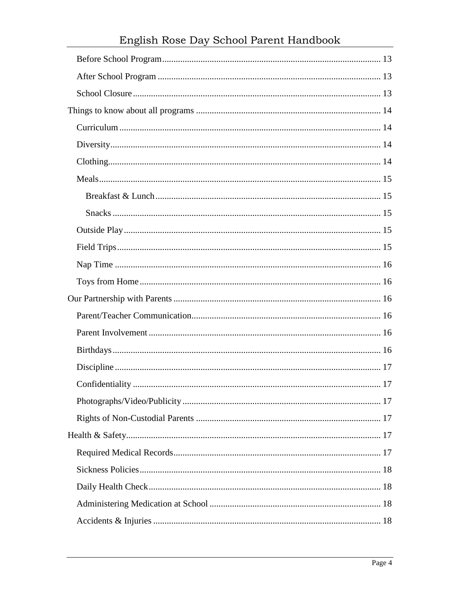# English Rose Day School Parent Handbook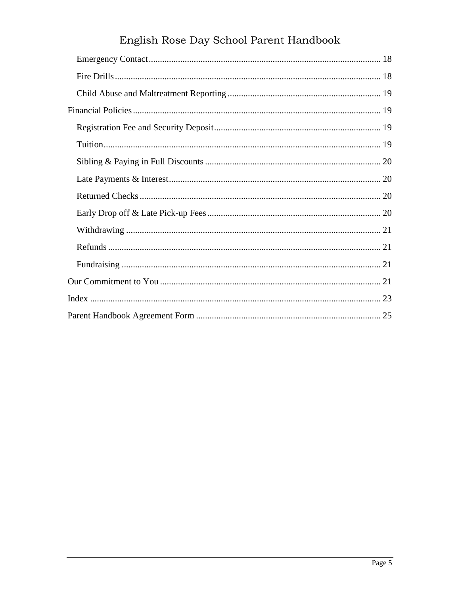| English Rose Day School Parent Handbook |  |  |  |
|-----------------------------------------|--|--|--|
|                                         |  |  |  |
|                                         |  |  |  |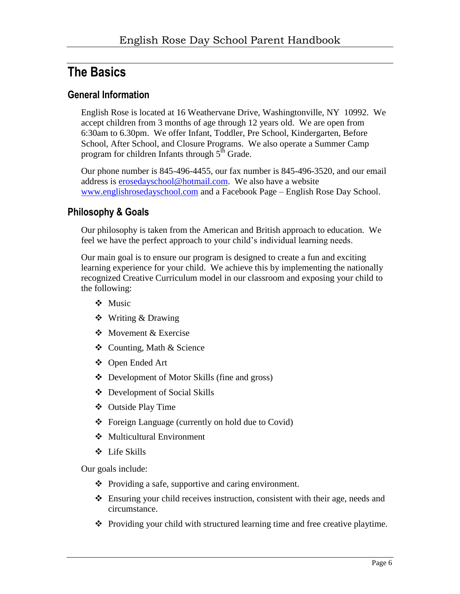### <span id="page-5-0"></span>**The Basics**

### <span id="page-5-1"></span>**General Information**

English Rose is located at 16 Weathervane Drive, Washingtonville, NY 10992. We accept children from 3 months of age through 12 years old. We are open from 6:30am to 6.30pm. We offer Infant, Toddler, Pre School, Kindergarten, Before School, After School, and Closure Programs. We also operate a Summer Camp program for children Infants through  $5<sup>th</sup>$  Grade.

Our phone number is 845-496-4455, our fax number is 845-496-3520, and our email address is [erosedayschool@hotmail.com.](mailto:erosedayschool@hotmail.com) We also have a website [www.englishrosedayschool.com](http://www.englishrosedayschool.com/) and a Facebook Page – English Rose Day School.

### <span id="page-5-2"></span>**Philosophy & Goals**

Our philosophy is taken from the American and British approach to education. We feel we have the perfect approach to your child's individual learning needs.

Our main goal is to ensure our program is designed to create a fun and exciting learning experience for your child. We achieve this by implementing the nationally recognized Creative Curriculum model in our classroom and exposing your child to the following:

- ❖ Music
- Writing & Drawing
- ❖ Movement & Exercise
- Counting, Math & Science
- Open Ended Art
- Development of Motor Skills (fine and gross)
- Development of Social Skills
- Outside Play Time
- Foreign Language (currently on hold due to Covid)
- Multicultural Environment
- Life Skills

Our goals include:

- $\triangle$  Providing a safe, supportive and caring environment.
- Ensuring your child receives instruction, consistent with their age, needs and circumstance.
- Providing your child with structured learning time and free creative playtime.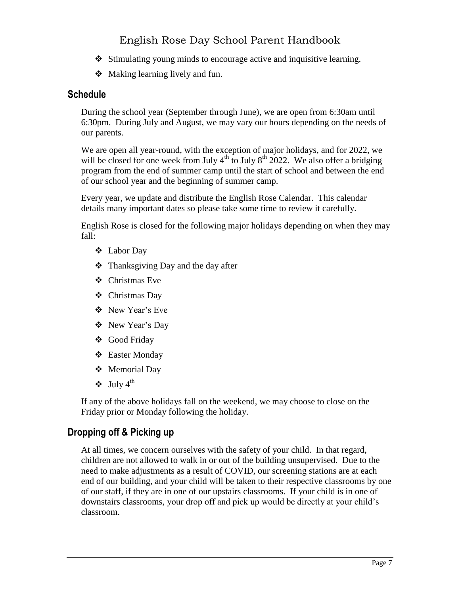- $\triangle$  Stimulating young minds to encourage active and inquisitive learning.
- ◆ Making learning lively and fun.

### <span id="page-6-0"></span>**Schedule**

During the school year (September through June), we are open from 6:30am until 6:30pm. During July and August, we may vary our hours depending on the needs of our parents.

We are open all year-round, with the exception of major holidays, and for 2022, we will be closed for one week from July  $4<sup>th</sup>$  to July  $8<sup>th</sup>$  2022. We also offer a bridging program from the end of summer camp until the start of school and between the end of our school year and the beginning of summer camp.

Every year, we update and distribute the English Rose Calendar. This calendar details many important dates so please take some time to review it carefully.

English Rose is closed for the following major holidays depending on when they may fall:

- Labor Day
- $\triangleleft$  Thanksgiving Day and the day after
- Christmas Eve
- Christmas Day
- New Year's Eve
- New Year's Day
- Good Friday
- Easter Monday
- Memorial Day
- $\triangleleft$  July 4<sup>th</sup>

If any of the above holidays fall on the weekend, we may choose to close on the Friday prior or Monday following the holiday.

### <span id="page-6-1"></span>**Dropping off & Picking up**

At all times, we concern ourselves with the safety of your child. In that regard, children are not allowed to walk in or out of the building unsupervised. Due to the need to make adjustments as a result of COVID, our screening stations are at each end of our building, and your child will be taken to their respective classrooms by one of our staff, if they are in one of our upstairs classrooms. If your child is in one of downstairs classrooms, your drop off and pick up would be directly at your child's classroom.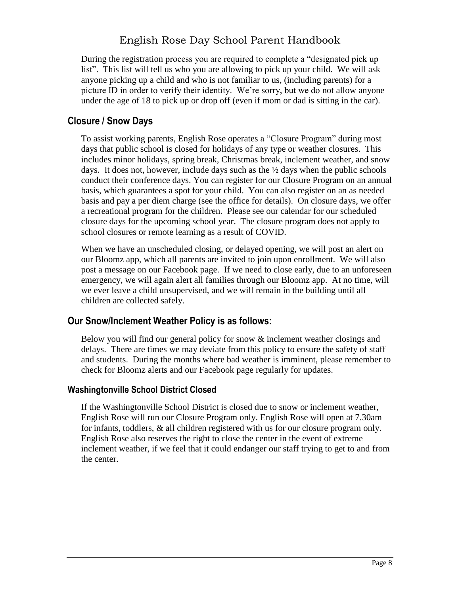During the registration process you are required to complete a "designated pick up list". This list will tell us who you are allowing to pick up your child. We will ask anyone picking up a child and who is not familiar to us, (including parents) for a picture ID in order to verify their identity. We're sorry, but we do not allow anyone under the age of 18 to pick up or drop off (even if mom or dad is sitting in the car).

### <span id="page-7-0"></span>**Closure / Snow Days**

To assist working parents, English Rose operates a "Closure Program" during most days that public school is closed for holidays of any type or weather closures. This includes minor holidays, spring break, Christmas break, inclement weather, and snow days. It does not, however, include days such as the  $\frac{1}{2}$  days when the public schools conduct their conference days. You can register for our Closure Program on an annual basis, which guarantees a spot for your child. You can also register on an as needed basis and pay a per diem charge (see the office for details). On closure days, we offer a recreational program for the children. Please see our calendar for our scheduled closure days for the upcoming school year. The closure program does not apply to school closures or remote learning as a result of COVID.

When we have an unscheduled closing, or delayed opening, we will post an alert on our Bloomz app, which all parents are invited to join upon enrollment. We will also post a message on our Facebook page. If we need to close early, due to an unforeseen emergency, we will again alert all families through our Bloomz app. At no time, will we ever leave a child unsupervised, and we will remain in the building until all children are collected safely.

### <span id="page-7-1"></span>**Our Snow/Inclement Weather Policy is as follows:**

Below you will find our general policy for snow & inclement weather closings and delays. There are times we may deviate from this policy to ensure the safety of staff and students. During the months where bad weather is imminent, please remember to check for Bloomz alerts and our Facebook page regularly for updates.

### <span id="page-7-2"></span>**Washingtonville School District Closed**

If the Washingtonville School District is closed due to snow or inclement weather, English Rose will run our Closure Program only. English Rose will open at 7.30am for infants, toddlers, & all children registered with us for our closure program only. English Rose also reserves the right to close the center in the event of extreme inclement weather, if we feel that it could endanger our staff trying to get to and from the center.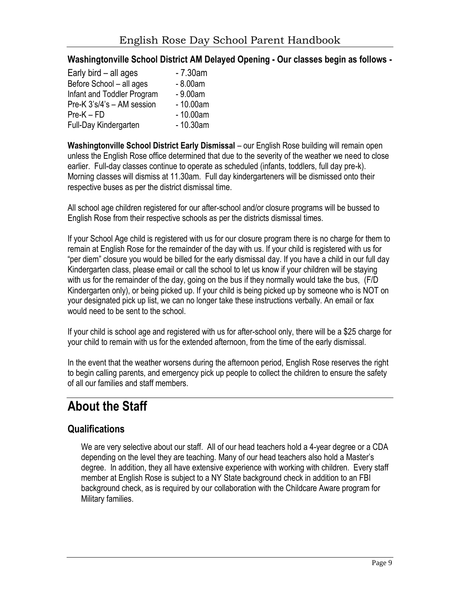#### <span id="page-8-0"></span>**Washingtonville School District AM Delayed Opening - Our classes begin as follows -**

<span id="page-8-1"></span>

| Early bird $-$ all ages    | $-7.30$ am |
|----------------------------|------------|
| Before School - all ages   | $-8.00am$  |
| Infant and Toddler Program | $-9.00am$  |
| Pre-K 3's/4's - AM session | $-10.00am$ |
| $Pre-K-FD$                 | $-10.00am$ |
| Full-Day Kindergarten      | $-10.30am$ |

**Washingtonville School District Early Dismissal** – our English Rose building will remain open unless the English Rose office determined that due to the severity of the weather we need to close earlier. Full-day classes continue to operate as scheduled (infants, toddlers, full day pre-k). Morning classes will dismiss at 11.30am. Full day kindergarteners will be dismissed onto their respective buses as per the district dismissal time.

All school age children registered for our after-school and/or closure programs will be bussed to English Rose from their respective schools as per the districts dismissal times.

If your School Age child is registered with us for our closure program there is no charge for them to remain at English Rose for the remainder of the day with us. If your child is registered with us for "per diem" closure you would be billed for the early dismissal day. If you have a child in our full day Kindergarten class, please email or call the school to let us know if your children will be staying with us for the remainder of the day, going on the bus if they normally would take the bus, (F/D Kindergarten only), or being picked up. If your child is being picked up by someone who is NOT on your designated pick up list, we can no longer take these instructions verbally. An email or fax would need to be sent to the school.

If your child is school age and registered with us for after-school only, there will be a \$25 charge for your child to remain with us for the extended afternoon, from the time of the early dismissal.

In the event that the weather worsens during the afternoon period, English Rose reserves the right to begin calling parents, and emergency pick up people to collect the children to ensure the safety of all our families and staff members.

# <span id="page-8-2"></span>**About the Staff**

### <span id="page-8-3"></span>**Qualifications**

We are very selective about our staff. All of our head teachers hold a 4-year degree or a CDA depending on the level they are teaching. Many of our head teachers also hold a Master's degree. In addition, they all have extensive experience with working with children. Every staff member at English Rose is subject to a NY State background check in addition to an FBI background check, as is required by our collaboration with the Childcare Aware program for Military families.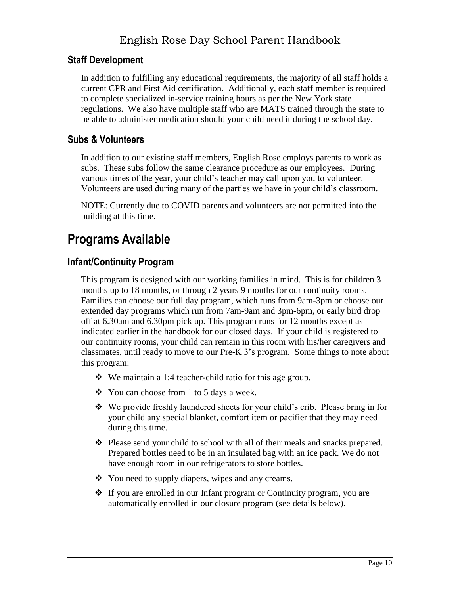### <span id="page-9-0"></span>**Staff Development**

In addition to fulfilling any educational requirements, the majority of all staff holds a current CPR and First Aid certification. Additionally, each staff member is required to complete specialized in-service training hours as per the New York state regulations. We also have multiple staff who are MATS trained through the state to be able to administer medication should your child need it during the school day.

### <span id="page-9-1"></span>**Subs & Volunteers**

In addition to our existing staff members, English Rose employs parents to work as subs. These subs follow the same clearance procedure as our employees. During various times of the year, your child's teacher may call upon you to volunteer. Volunteers are used during many of the parties we have in your child's classroom.

NOTE: Currently due to COVID parents and volunteers are not permitted into the building at this time.

### <span id="page-9-2"></span>**Programs Available**

### <span id="page-9-3"></span>**Infant/Continuity Program**

This program is designed with our working families in mind. This is for children 3 months up to 18 months, or through 2 years 9 months for our continuity rooms. Families can choose our full day program, which runs from 9am-3pm or choose our extended day programs which run from 7am-9am and 3pm-6pm, or early bird drop off at 6.30am and 6.30pm pick up. This program runs for 12 months except as indicated earlier in the handbook for our closed days. If your child is registered to our continuity rooms, your child can remain in this room with his/her caregivers and classmates, until ready to move to our Pre-K 3's program. Some things to note about this program:

- We maintain a 1:4 teacher-child ratio for this age group.
- You can choose from 1 to 5 days a week.
- We provide freshly laundered sheets for your child's crib. Please bring in for your child any special blanket, comfort item or pacifier that they may need during this time.
- $\div$  Please send your child to school with all of their meals and snacks prepared. Prepared bottles need to be in an insulated bag with an ice pack. We do not have enough room in our refrigerators to store bottles.
- You need to supply diapers, wipes and any creams.
- If you are enrolled in our Infant program or Continuity program, you are automatically enrolled in our closure program (see details below).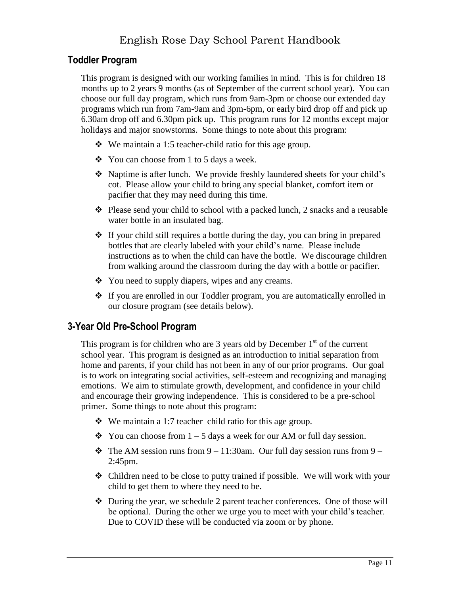### <span id="page-10-0"></span>**Toddler Program**

This program is designed with our working families in mind. This is for children 18 months up to 2 years 9 months (as of September of the current school year). You can choose our full day program, which runs from 9am-3pm or choose our extended day programs which run from 7am-9am and 3pm-6pm, or early bird drop off and pick up 6.30am drop off and 6.30pm pick up. This program runs for 12 months except major holidays and major snowstorms. Some things to note about this program:

- $\bullet$  We maintain a 1:5 teacher-child ratio for this age group.
- You can choose from 1 to 5 days a week.
- Naptime is after lunch. We provide freshly laundered sheets for your child's cot. Please allow your child to bring any special blanket, comfort item or pacifier that they may need during this time.
- Please send your child to school with a packed lunch, 2 snacks and a reusable water bottle in an insulated bag.
- $\cdot$  If your child still requires a bottle during the day, you can bring in prepared bottles that are clearly labeled with your child's name. Please include instructions as to when the child can have the bottle. We discourage children from walking around the classroom during the day with a bottle or pacifier.
- ❖ You need to supply diapers, wipes and any creams.
- If you are enrolled in our Toddler program, you are automatically enrolled in our closure program (see details below).

### <span id="page-10-1"></span>**3-Year Old Pre-School Program**

This program is for children who are 3 years old by December  $1<sup>st</sup>$  of the current school year. This program is designed as an introduction to initial separation from home and parents, if your child has not been in any of our prior programs. Our goal is to work on integrating social activities, self-esteem and recognizing and managing emotions. We aim to stimulate growth, development, and confidence in your child and encourage their growing independence. This is considered to be a pre-school primer. Some things to note about this program:

- $\bullet$  We maintain a 1:7 teacher–child ratio for this age group.
- $\div$  You can choose from 1 5 days a week for our AM or full day session.
- $\div$  The AM session runs from 9 11:30am. Our full day session runs from 9 2:45pm.
- Children need to be close to putty trained if possible. We will work with your child to get them to where they need to be.
- $\div$  During the year, we schedule 2 parent teacher conferences. One of those will be optional. During the other we urge you to meet with your child's teacher. Due to COVID these will be conducted via zoom or by phone.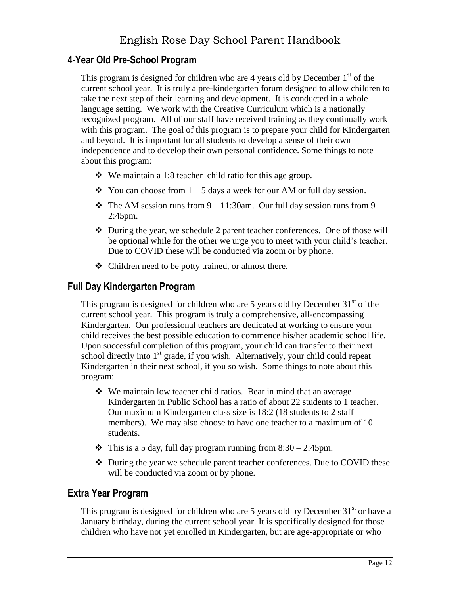### <span id="page-11-0"></span>**4-Year Old Pre-School Program**

This program is designed for children who are 4 years old by December  $1<sup>st</sup>$  of the current school year. It is truly a pre-kindergarten forum designed to allow children to take the next step of their learning and development. It is conducted in a whole language setting. We work with the Creative Curriculum which is a nationally recognized program. All of our staff have received training as they continually work with this program. The goal of this program is to prepare your child for Kindergarten and beyond. It is important for all students to develop a sense of their own independence and to develop their own personal confidence. Some things to note about this program:

- $\bullet$  We maintain a 1:8 teacher–child ratio for this age group.
- $\div$  You can choose from 1 5 days a week for our AM or full day session.
- $\cdot \cdot$  The AM session runs from 9 11:30am. Our full day session runs from 9 2:45pm.
- During the year, we schedule 2 parent teacher conferences. One of those will be optional while for the other we urge you to meet with your child's teacher. Due to COVID these will be conducted via zoom or by phone.
- Children need to be potty trained, or almost there.

### <span id="page-11-1"></span>**Full Day Kindergarten Program**

This program is designed for children who are 5 years old by December  $31<sup>st</sup>$  of the current school year. This program is truly a comprehensive, all-encompassing Kindergarten. Our professional teachers are dedicated at working to ensure your child receives the best possible education to commence his/her academic school life. Upon successful completion of this program, your child can transfer to their next school directly into  $1<sup>st</sup>$  grade, if you wish. Alternatively, your child could repeat Kindergarten in their next school, if you so wish. Some things to note about this program:

- We maintain low teacher child ratios. Bear in mind that an average Kindergarten in Public School has a ratio of about 22 students to 1 teacher. Our maximum Kindergarten class size is 18:2 (18 students to 2 staff members). We may also choose to have one teacher to a maximum of 10 students.
- $\bullet$  This is a 5 day, full day program running from 8:30 2:45pm.
- During the year we schedule parent teacher conferences. Due to COVID these will be conducted via zoom or by phone.

### <span id="page-11-2"></span>**Extra Year Program**

This program is designed for children who are 5 years old by December  $31<sup>st</sup>$  or have a January birthday, during the current school year. It is specifically designed for those children who have not yet enrolled in Kindergarten, but are age-appropriate or who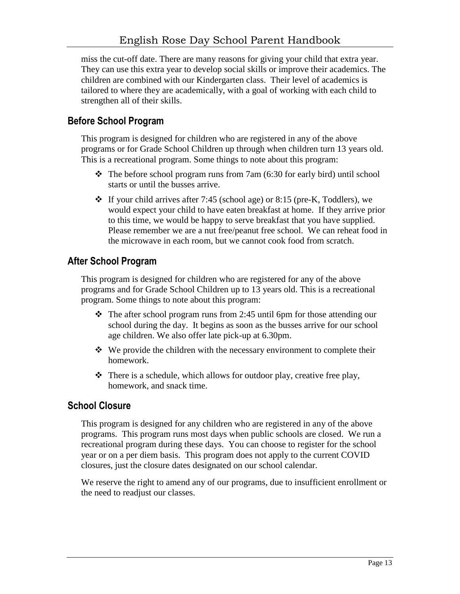miss the cut-off date. There are many reasons for giving your child that extra year. They can use this extra year to develop social skills or improve their academics. The children are combined with our Kindergarten class. Their level of academics is tailored to where they are academically, with a goal of working with each child to strengthen all of their skills.

### <span id="page-12-0"></span>**Before School Program**

This program is designed for children who are registered in any of the above programs or for Grade School Children up through when children turn 13 years old. This is a recreational program. Some things to note about this program:

- $\div$  The before school program runs from 7am (6:30 for early bird) until school starts or until the busses arrive.
- $\div$  If your child arrives after 7:45 (school age) or 8:15 (pre-K, Toddlers), we would expect your child to have eaten breakfast at home. If they arrive prior to this time, we would be happy to serve breakfast that you have supplied. Please remember we are a nut free/peanut free school. We can reheat food in the microwave in each room, but we cannot cook food from scratch.

### <span id="page-12-1"></span>**After School Program**

This program is designed for children who are registered for any of the above programs and for Grade School Children up to 13 years old. This is a recreational program. Some things to note about this program:

- $\div$  The after school program runs from 2:45 until 6pm for those attending our school during the day. It begins as soon as the busses arrive for our school age children. We also offer late pick-up at 6.30pm.
- $\cdot \cdot$  We provide the children with the necessary environment to complete their homework.
- $\triangle$  There is a schedule, which allows for outdoor play, creative free play, homework, and snack time.

### <span id="page-12-2"></span>**School Closure**

This program is designed for any children who are registered in any of the above programs. This program runs most days when public schools are closed. We run a recreational program during these days. You can choose to register for the school year or on a per diem basis. This program does not apply to the current COVID closures, just the closure dates designated on our school calendar.

We reserve the right to amend any of our programs, due to insufficient enrollment or the need to readjust our classes.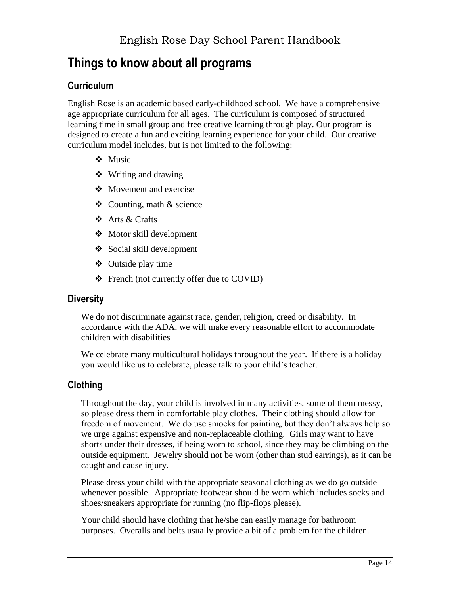### <span id="page-13-0"></span>**Things to know about all programs**

### <span id="page-13-1"></span>**Curriculum**

English Rose is an academic based early-childhood school. We have a comprehensive age appropriate curriculum for all ages. The curriculum is composed of structured learning time in small group and free creative learning through play. Our program is designed to create a fun and exciting learning experience for your child. Our creative curriculum model includes, but is not limited to the following:

- Music
- $\bullet$  Writing and drawing
- Movement and exercise
- $\triangle$  Counting, math & science
- Arts & Crafts
- Motor skill development
- Social skill development
- Outside play time
- French (not currently offer due to COVID)

### <span id="page-13-2"></span>**Diversity**

We do not discriminate against race, gender, religion, creed or disability. In accordance with the ADA, we will make every reasonable effort to accommodate children with disabilities

We celebrate many multicultural holidays throughout the year. If there is a holiday you would like us to celebrate, please talk to your child's teacher.

### <span id="page-13-3"></span>**Clothing**

Throughout the day, your child is involved in many activities, some of them messy, so please dress them in comfortable play clothes. Their clothing should allow for freedom of movement. We do use smocks for painting, but they don't always help so we urge against expensive and non-replaceable clothing. Girls may want to have shorts under their dresses, if being worn to school, since they may be climbing on the outside equipment. Jewelry should not be worn (other than stud earrings), as it can be caught and cause injury.

Please dress your child with the appropriate seasonal clothing as we do go outside whenever possible. Appropriate footwear should be worn which includes socks and shoes/sneakers appropriate for running (no flip-flops please).

Your child should have clothing that he/she can easily manage for bathroom purposes. Overalls and belts usually provide a bit of a problem for the children.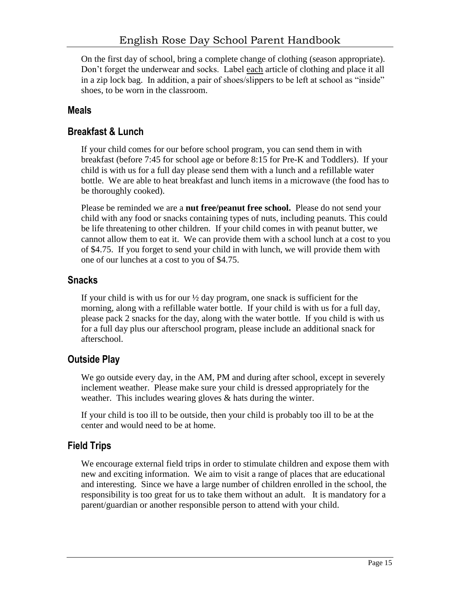On the first day of school, bring a complete change of clothing (season appropriate). Don't forget the underwear and socks. Label each article of clothing and place it all in a zip lock bag. In addition, a pair of shoes/slippers to be left at school as "inside" shoes, to be worn in the classroom.

### <span id="page-14-0"></span>**Meals**

### <span id="page-14-1"></span>**Breakfast & Lunch**

If your child comes for our before school program, you can send them in with breakfast (before 7:45 for school age or before 8:15 for Pre-K and Toddlers). If your child is with us for a full day please send them with a lunch and a refillable water bottle. We are able to heat breakfast and lunch items in a microwave (the food has to be thoroughly cooked).

Please be reminded we are a **nut free/peanut free school.** Please do not send your child with any food or snacks containing types of nuts, including peanuts. This could be life threatening to other children. If your child comes in with peanut butter, we cannot allow them to eat it. We can provide them with a school lunch at a cost to you of \$4.75. If you forget to send your child in with lunch, we will provide them with one of our lunches at a cost to you of \$4.75.

### <span id="page-14-2"></span>**Snacks**

If your child is with us for our  $\frac{1}{2}$  day program, one snack is sufficient for the morning, along with a refillable water bottle. If your child is with us for a full day, please pack 2 snacks for the day, along with the water bottle. If you child is with us for a full day plus our afterschool program, please include an additional snack for afterschool.

### <span id="page-14-3"></span>**Outside Play**

We go outside every day, in the AM, PM and during after school, except in severely inclement weather. Please make sure your child is dressed appropriately for the weather. This includes wearing gloves & hats during the winter.

If your child is too ill to be outside, then your child is probably too ill to be at the center and would need to be at home.

### <span id="page-14-4"></span>**Field Trips**

We encourage external field trips in order to stimulate children and expose them with new and exciting information. We aim to visit a range of places that are educational and interesting. Since we have a large number of children enrolled in the school, the responsibility is too great for us to take them without an adult. It is mandatory for a parent/guardian or another responsible person to attend with your child.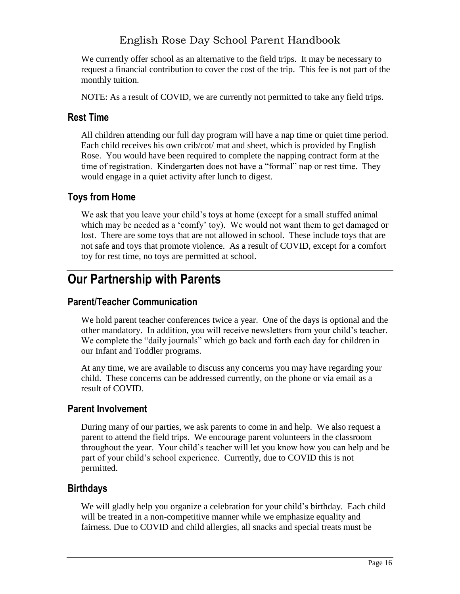We currently offer school as an alternative to the field trips. It may be necessary to request a financial contribution to cover the cost of the trip. This fee is not part of the monthly tuition.

NOTE: As a result of COVID, we are currently not permitted to take any field trips.

### <span id="page-15-0"></span>**Rest Time**

All children attending our full day program will have a nap time or quiet time period. Each child receives his own crib/cot/ mat and sheet, which is provided by English Rose. You would have been required to complete the napping contract form at the time of registration. Kindergarten does not have a "formal" nap or rest time. They would engage in a quiet activity after lunch to digest.

### <span id="page-15-1"></span>**Toys from Home**

We ask that you leave your child's toys at home (except for a small stuffed animal which may be needed as a 'comfy' toy). We would not want them to get damaged or lost. There are some toys that are not allowed in school. These include toys that are not safe and toys that promote violence. As a result of COVID, except for a comfort toy for rest time, no toys are permitted at school.

### <span id="page-15-2"></span>**Our Partnership with Parents**

### <span id="page-15-3"></span>**Parent/Teacher Communication**

We hold parent teacher conferences twice a year. One of the days is optional and the other mandatory. In addition, you will receive newsletters from your child's teacher. We complete the "daily journals" which go back and forth each day for children in our Infant and Toddler programs.

At any time, we are available to discuss any concerns you may have regarding your child. These concerns can be addressed currently, on the phone or via email as a result of COVID.

### <span id="page-15-4"></span>**Parent Involvement**

During many of our parties, we ask parents to come in and help. We also request a parent to attend the field trips. We encourage parent volunteers in the classroom throughout the year. Your child's teacher will let you know how you can help and be part of your child's school experience. Currently, due to COVID this is not permitted.

### <span id="page-15-5"></span>**Birthdays**

We will gladly help you organize a celebration for your child's birthday. Each child will be treated in a non-competitive manner while we emphasize equality and fairness. Due to COVID and child allergies, all snacks and special treats must be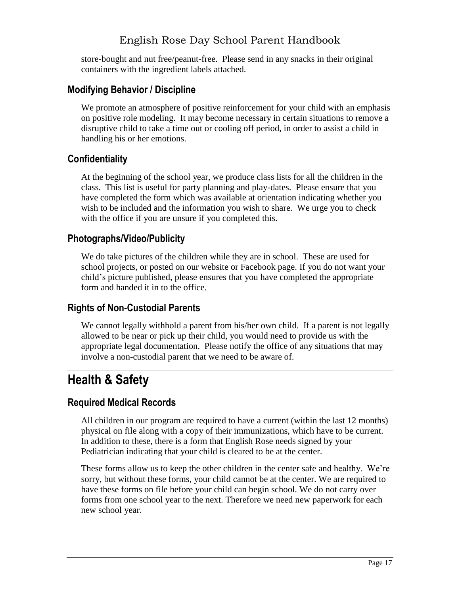store-bought and nut free/peanut-free. Please send in any snacks in their original containers with the ingredient labels attached.

### <span id="page-16-0"></span>**Modifying Behavior / Discipline**

We promote an atmosphere of positive reinforcement for your child with an emphasis on positive role modeling. It may become necessary in certain situations to remove a disruptive child to take a time out or cooling off period, in order to assist a child in handling his or her emotions.

### <span id="page-16-1"></span>**Confidentiality**

At the beginning of the school year, we produce class lists for all the children in the class. This list is useful for party planning and play-dates. Please ensure that you have completed the form which was available at orientation indicating whether you wish to be included and the information you wish to share. We urge you to check with the office if you are unsure if you completed this.

### <span id="page-16-2"></span>**Photographs/Video/Publicity**

We do take pictures of the children while they are in school. These are used for school projects, or posted on our website or Facebook page. If you do not want your child's picture published, please ensures that you have completed the appropriate form and handed it in to the office.

### <span id="page-16-3"></span>**Rights of Non-Custodial Parents**

We cannot legally withhold a parent from his/her own child. If a parent is not legally allowed to be near or pick up their child, you would need to provide us with the appropriate legal documentation. Please notify the office of any situations that may involve a non-custodial parent that we need to be aware of.

### <span id="page-16-4"></span>**Health & Safety**

### <span id="page-16-5"></span>**Required Medical Records**

All children in our program are required to have a current (within the last 12 months) physical on file along with a copy of their immunizations, which have to be current. In addition to these, there is a form that English Rose needs signed by your Pediatrician indicating that your child is cleared to be at the center.

These forms allow us to keep the other children in the center safe and healthy. We're sorry, but without these forms, your child cannot be at the center. We are required to have these forms on file before your child can begin school. We do not carry over forms from one school year to the next. Therefore we need new paperwork for each new school year.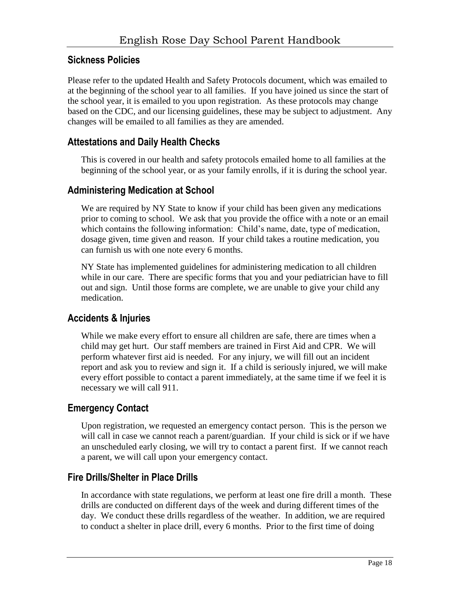### <span id="page-17-0"></span>**Sickness Policies**

<span id="page-17-1"></span>Please refer to the updated Health and Safety Protocols document, which was emailed to at the beginning of the school year to all families. If you have joined us since the start of the school year, it is emailed to you upon registration. As these protocols may change based on the CDC, and our licensing guidelines, these may be subject to adjustment. Any changes will be emailed to all families as they are amended.

### **Attestations and Daily Health Checks**

This is covered in our health and safety protocols emailed home to all families at the beginning of the school year, or as your family enrolls, if it is during the school year.

### <span id="page-17-2"></span>**Administering Medication at School**

We are required by NY State to know if your child has been given any medications prior to coming to school. We ask that you provide the office with a note or an email which contains the following information: Child's name, date, type of medication, dosage given, time given and reason. If your child takes a routine medication, you can furnish us with one note every 6 months.

NY State has implemented guidelines for administering medication to all children while in our care. There are specific forms that you and your pediatrician have to fill out and sign. Until those forms are complete, we are unable to give your child any medication.

### <span id="page-17-3"></span>**Accidents & Injuries**

While we make every effort to ensure all children are safe, there are times when a child may get hurt. Our staff members are trained in First Aid and CPR. We will perform whatever first aid is needed. For any injury, we will fill out an incident report and ask you to review and sign it. If a child is seriously injured, we will make every effort possible to contact a parent immediately, at the same time if we feel it is necessary we will call 911.

### <span id="page-17-4"></span>**Emergency Contact**

Upon registration, we requested an emergency contact person. This is the person we will call in case we cannot reach a parent/guardian. If your child is sick or if we have an unscheduled early closing, we will try to contact a parent first. If we cannot reach a parent, we will call upon your emergency contact.

### <span id="page-17-5"></span>**Fire Drills/Shelter in Place Drills**

In accordance with state regulations, we perform at least one fire drill a month. These drills are conducted on different days of the week and during different times of the day. We conduct these drills regardless of the weather. In addition, we are required to conduct a shelter in place drill, every 6 months. Prior to the first time of doing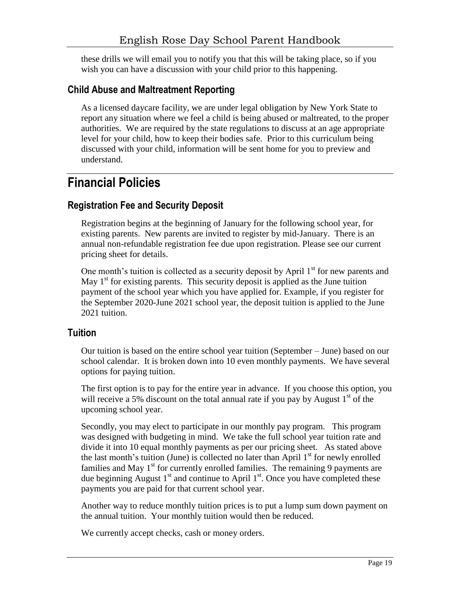these drills we will email you to notify you that this will be taking place, so if you wish you can have a discussion with your child prior to this happening.

### <span id="page-18-0"></span>**Child Abuse and Maltreatment Reporting**

As a licensed daycare facility, we are under legal obligation by New York State to report any situation where we feel a child is being abused or maltreated, to the proper authorities. We are required by the state regulations to discuss at an age appropriate level for your child, how to keep their bodies safe. Prior to this curriculum being discussed with your child, information will be sent home for you to preview and understand.

### <span id="page-18-1"></span>**Financial Policies**

### <span id="page-18-2"></span>**Registration Fee and Security Deposit**

Registration begins at the beginning of January for the following school year, for existing parents. New parents are invited to register by mid-January. There is an annual non-refundable registration fee due upon registration. Please see our current pricing sheet for details.

One month's tuition is collected as a security deposit by April  $1<sup>st</sup>$  for new parents and May  $1<sup>st</sup>$  for existing parents. This security deposit is applied as the June tuition payment of the school year which you have applied for. Example, if you register for the September 2020-June 2021 school year, the deposit tuition is applied to the June 2021 tuition.

### <span id="page-18-3"></span>**Tuition**

Our tuition is based on the entire school year tuition (September – June) based on our school calendar. It is broken down into 10 even monthly payments. We have several options for paying tuition.

The first option is to pay for the entire year in advance. If you choose this option, you will receive a 5% discount on the total annual rate if you pay by August  $1<sup>st</sup>$  of the upcoming school year.

Secondly, you may elect to participate in our monthly pay program. This program was designed with budgeting in mind. We take the full school year tuition rate and divide it into 10 equal monthly payments as per our pricing sheet. As stated above the last month's tuition (June) is collected no later than April  $1<sup>st</sup>$  for newly enrolled families and May  $1<sup>st</sup>$  for currently enrolled families. The remaining 9 payments are due beginning August  $1<sup>st</sup>$  and continue to April  $1<sup>st</sup>$ . Once you have completed these payments you are paid for that current school year.

Another way to reduce monthly tuition prices is to put a lump sum down payment on the annual tuition. Your monthly tuition would then be reduced.

We currently accept checks, cash or money orders.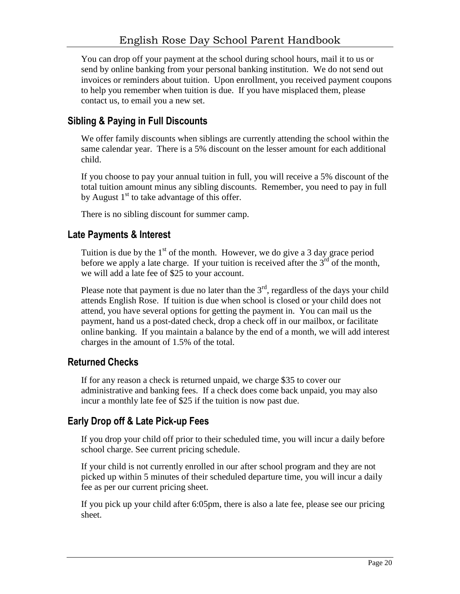You can drop off your payment at the school during school hours, mail it to us or send by online banking from your personal banking institution. We do not send out invoices or reminders about tuition. Upon enrollment, you received payment coupons to help you remember when tuition is due. If you have misplaced them, please contact us, to email you a new set.

### <span id="page-19-0"></span>**Sibling & Paying in Full Discounts**

We offer family discounts when siblings are currently attending the school within the same calendar year. There is a 5% discount on the lesser amount for each additional child.

If you choose to pay your annual tuition in full, you will receive a 5% discount of the total tuition amount minus any sibling discounts. Remember, you need to pay in full by August  $1<sup>st</sup>$  to take advantage of this offer.

There is no sibling discount for summer camp.

### <span id="page-19-1"></span>**Late Payments & Interest**

Tuition is due by the  $1<sup>st</sup>$  of the month. However, we do give a 3 day grace period before we apply a late charge. If your tuition is received after the  $3<sup>rd</sup>$  of the month, we will add a late fee of \$25 to your account.

Please note that payment is due no later than the  $3<sup>rd</sup>$ , regardless of the days your child attends English Rose. If tuition is due when school is closed or your child does not attend, you have several options for getting the payment in. You can mail us the payment, hand us a post-dated check, drop a check off in our mailbox, or facilitate online banking. If you maintain a balance by the end of a month, we will add interest charges in the amount of 1.5% of the total.

### <span id="page-19-2"></span>**Returned Checks**

If for any reason a check is returned unpaid, we charge \$35 to cover our administrative and banking fees. If a check does come back unpaid, you may also incur a monthly late fee of \$25 if the tuition is now past due.

### <span id="page-19-3"></span>**Early Drop off & Late Pick-up Fees**

If you drop your child off prior to their scheduled time, you will incur a daily before school charge. See current pricing schedule.

If your child is not currently enrolled in our after school program and they are not picked up within 5 minutes of their scheduled departure time, you will incur a daily fee as per our current pricing sheet.

If you pick up your child after 6:05pm, there is also a late fee, please see our pricing sheet.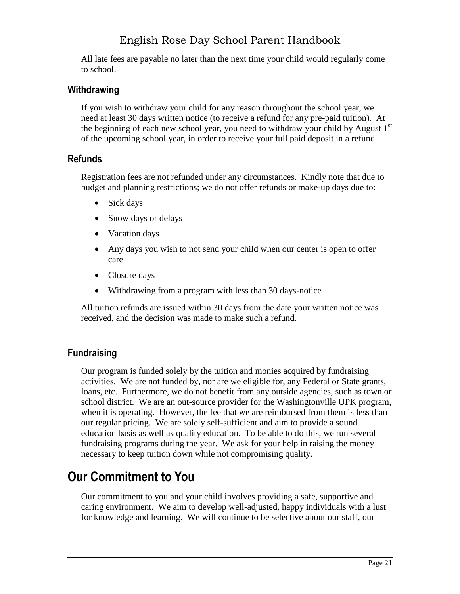All late fees are payable no later than the next time your child would regularly come to school.

### <span id="page-20-0"></span>**Withdrawing**

If you wish to withdraw your child for any reason throughout the school year, we need at least 30 days written notice (to receive a refund for any pre-paid tuition). At the beginning of each new school year, you need to withdraw your child by August  $1<sup>st</sup>$ of the upcoming school year, in order to receive your full paid deposit in a refund.

### <span id="page-20-1"></span>**Refunds**

Registration fees are not refunded under any circumstances. Kindly note that due to budget and planning restrictions; we do not offer refunds or make-up days due to:

- Sick days
- Snow days or delays
- Vacation days
- Any days you wish to not send your child when our center is open to offer care
- Closure days
- Withdrawing from a program with less than 30 days-notice

All tuition refunds are issued within 30 days from the date your written notice was received, and the decision was made to make such a refund.

### <span id="page-20-2"></span>**Fundraising**

Our program is funded solely by the tuition and monies acquired by fundraising activities. We are not funded by, nor are we eligible for, any Federal or State grants, loans, etc. Furthermore, we do not benefit from any outside agencies, such as town or school district. We are an out-source provider for the Washingtonville UPK program, when it is operating. However, the fee that we are reimbursed from them is less than our regular pricing. We are solely self-sufficient and aim to provide a sound education basis as well as quality education. To be able to do this, we run several fundraising programs during the year. We ask for your help in raising the money necessary to keep tuition down while not compromising quality.

### <span id="page-20-3"></span>**Our Commitment to You**

Our commitment to you and your child involves providing a safe, supportive and caring environment. We aim to develop well-adjusted, happy individuals with a lust for knowledge and learning. We will continue to be selective about our staff, our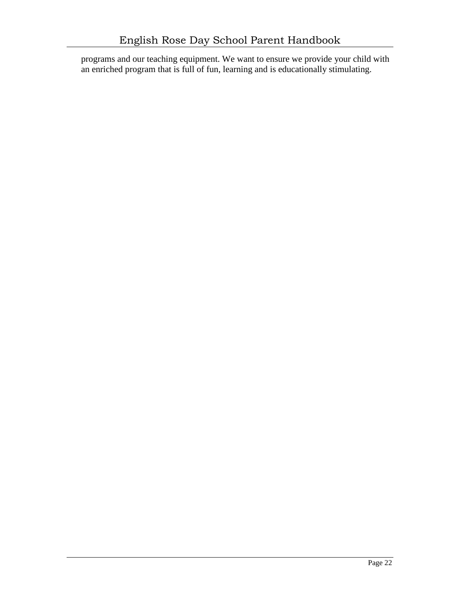programs and our teaching equipment. We want to ensure we provide your child with an enriched program that is full of fun, learning and is educationally stimulating.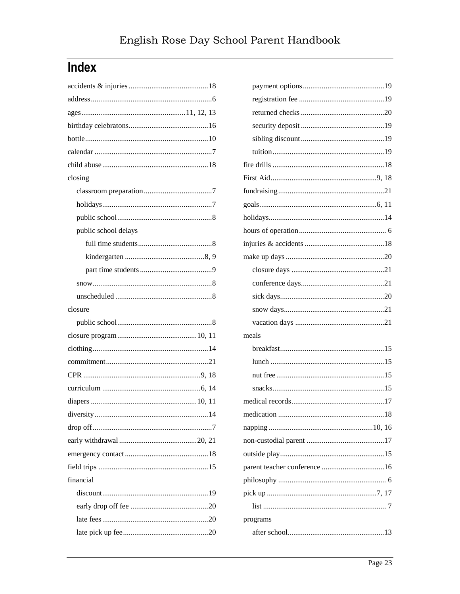# <span id="page-22-0"></span>**Index**

| meals    |
|----------|
|          |
|          |
|          |
|          |
|          |
|          |
|          |
|          |
|          |
|          |
|          |
|          |
|          |
| programs |
|          |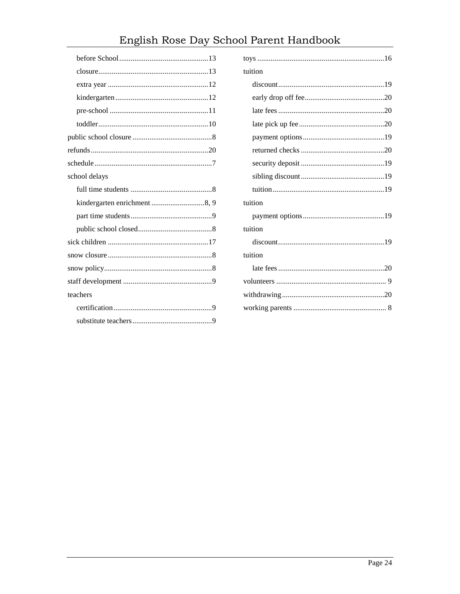# English Rose Day School Parent Handbook

| tuition |
|---------|
|         |
|         |
|         |
|         |
|         |
|         |
|         |
|         |
|         |
| tuition |
|         |
| tuition |
|         |
| tuition |
|         |
|         |
|         |
|         |
|         |